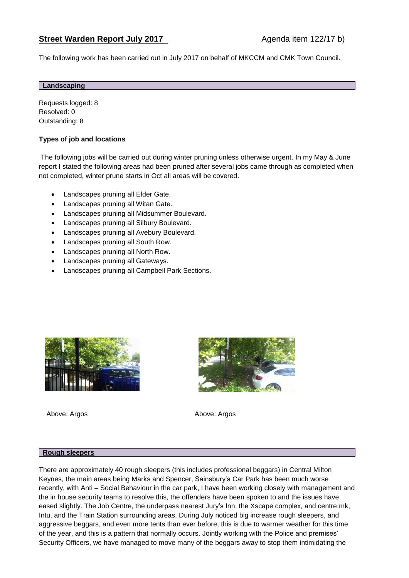The following work has been carried out in July 2017 on behalf of MKCCM and CMK Town Council.

### **Landscaping**

Requests logged: 8 Resolved: 0 Outstanding: 8

# **Types of job and locations**

The following jobs will be carried out during winter pruning unless otherwise urgent. In my May & June report I stated the following areas had been pruned after several jobs came through as completed when not completed, winter prune starts in Oct all areas will be covered.

- Landscapes pruning all Elder Gate.
- Landscapes pruning all Witan Gate.
- Landscapes pruning all Midsummer Boulevard.
- Landscapes pruning all Silbury Boulevard.
- Landscapes pruning all Avebury Boulevard.
- Landscapes pruning all South Row.
- Landscapes pruning all North Row.
- Landscapes pruning all Gateways.
- Landscapes pruning all Campbell Park Sections.



Above: Argos **Above: Argos** Above: Argos



#### **Rough sleepers**

There are approximately 40 rough sleepers (this includes professional beggars) in Central Milton Keynes, the main areas being Marks and Spencer, Sainsbury's Car Park has been much worse recently, with Anti – Social Behaviour in the car park, I have been working closely with management and the in house security teams to resolve this, the offenders have been spoken to and the issues have eased slightly. The Job Centre, the underpass nearest Jury's Inn, the Xscape complex, and centre:mk, Intu, and the Train Station surrounding areas. During July noticed big increase rough sleepers, and aggressive beggars, and even more tents than ever before, this is due to warmer weather for this time of the year, and this is a pattern that normally occurs. Jointly working with the Police and premises' Security Officers, we have managed to move many of the beggars away to stop them intimidating the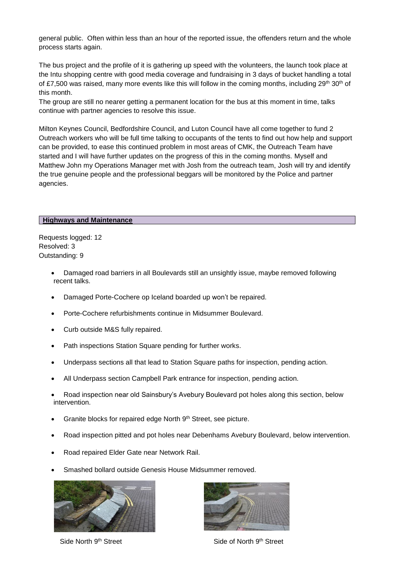general public. Often within less than an hour of the reported issue, the offenders return and the whole process starts again.

The bus project and the profile of it is gathering up speed with the volunteers, the launch took place at the Intu shopping centre with good media coverage and fundraising in 3 days of bucket handling a total of £7,500 was raised, many more events like this will follow in the coming months, including  $29<sup>th</sup> 30<sup>th</sup>$  of this month.

The group are still no nearer getting a permanent location for the bus at this moment in time, talks continue with partner agencies to resolve this issue.

Milton Keynes Council, Bedfordshire Council, and Luton Council have all come together to fund 2 Outreach workers who will be full time talking to occupants of the tents to find out how help and support can be provided, to ease this continued problem in most areas of CMK, the Outreach Team have started and I will have further updates on the progress of this in the coming months. Myself and Matthew John my Operations Manager met with Josh from the outreach team, Josh will try and identify the true genuine people and the professional beggars will be monitored by the Police and partner agencies.

#### **Highways and Maintenance**

Requests logged: 12 Resolved: 3 Outstanding: 9

- Damaged road barriers in all Boulevards still an unsightly issue, maybe removed following recent talks.
- Damaged Porte-Cochere op Iceland boarded up won't be repaired.
- Porte-Cochere refurbishments continue in Midsummer Boulevard.
- Curb outside M&S fully repaired.
- Path inspections Station Square pending for further works.
- Underpass sections all that lead to Station Square paths for inspection, pending action.
- All Underpass section Campbell Park entrance for inspection, pending action.
- Road inspection near old Sainsbury's Avebury Boulevard pot holes along this section, below intervention.
- Granite blocks for repaired edge North 9th Street, see picture.
- Road inspection pitted and pot holes near Debenhams Avebury Boulevard, below intervention.
- Road repaired Elder Gate near Network Rail.
- Smashed bollard outside Genesis House Midsummer removed.



Side North 9th Street Side of North 9th Street

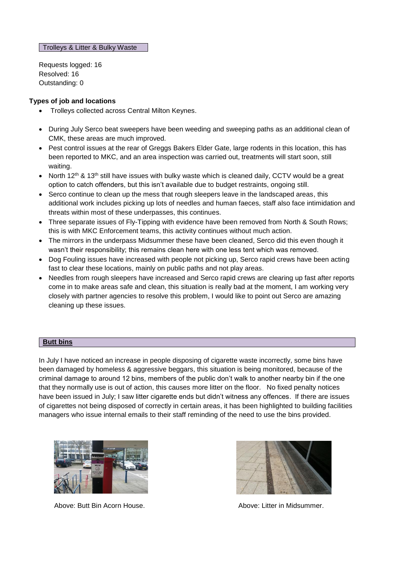Trolleys & Litter & Bulky Waste

Requests logged: 16 Resolved: 16 Outstanding: 0

## **Types of job and locations**

- Trolleys collected across Central Milton Keynes.
- During July Serco beat sweepers have been weeding and sweeping paths as an additional clean of CMK, these areas are much improved.
- Pest control issues at the rear of Greggs Bakers Elder Gate, large rodents in this location, this has been reported to MKC, and an area inspection was carried out, treatments will start soon, still waiting.
- North 12<sup>th</sup> & 13<sup>th</sup> still have issues with bulky waste which is cleaned daily, CCTV would be a great option to catch offenders, but this isn't available due to budget restraints, ongoing still.
- Serco continue to clean up the mess that rough sleepers leave in the landscaped areas, this additional work includes picking up lots of needles and human faeces, staff also face intimidation and threats within most of these underpasses, this continues.
- Three separate issues of Fly-Tipping with evidence have been removed from North & South Rows; this is with MKC Enforcement teams, this activity continues without much action.
- The mirrors in the underpass Midsummer these have been cleaned, Serco did this even though it wasn't their responsibility; this remains clean here with one less tent which was removed.
- Dog Fouling issues have increased with people not picking up, Serco rapid crews have been acting fast to clear these locations, mainly on public paths and not play areas.
- Needles from rough sleepers have increased and Serco rapid crews are clearing up fast after reports come in to make areas safe and clean, this situation is really bad at the moment, I am working very closely with partner agencies to resolve this problem, I would like to point out Serco are amazing cleaning up these issues.

## **Butt bins**

In July I have noticed an increase in people disposing of cigarette waste incorrectly, some bins have been damaged by homeless & aggressive beggars, this situation is being monitored, because of the criminal damage to around 12 bins, members of the public don't walk to another nearby bin if the one that they normally use is out of action, this causes more litter on the floor. No fixed penalty notices have been issued in July; I saw litter cigarette ends but didn't witness any offences. If there are issues of cigarettes not being disposed of correctly in certain areas, it has been highlighted to building facilities managers who issue internal emails to their staff reminding of the need to use the bins provided.



Above: Butt Bin Acorn House. Above: Litter in Midsummer.

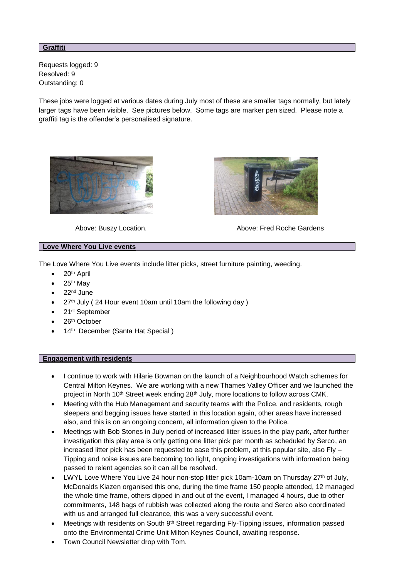## **Graffiti**

Requests logged: 9 Resolved: 9 Outstanding: 0

These jobs were logged at various dates during July most of these are smaller tags normally, but lately larger tags have been visible. See pictures below. Some tags are marker pen sized. Please note a graffiti tag is the offender's personalised signature.





Above: Buszy Location. Above: Fred Roche Gardens

## **Love Where You Live events**

The Love Where You Live events include litter picks, street furniture painting, weeding.

- $\bullet$  20<sup>th</sup> April
- 25th May
- 22nd June
- 27<sup>th</sup> July (24 Hour event 10am until 10am the following day)
- 21<sup>st</sup> September
- 26<sup>th</sup> October
- 14<sup>th</sup> December (Santa Hat Special)

### **Engagement with residents**

- I continue to work with Hilarie Bowman on the launch of a Neighbourhood Watch schemes for Central Milton Keynes. We are working with a new Thames Valley Officer and we launched the project in North 10<sup>th</sup> Street week ending 28<sup>th</sup> July, more locations to follow across CMK.
- Meeting with the Hub Management and security teams with the Police, and residents, rough sleepers and begging issues have started in this location again, other areas have increased also, and this is on an ongoing concern, all information given to the Police.
- Meetings with Bob Stones in July period of increased litter issues in the play park, after further investigation this play area is only getting one litter pick per month as scheduled by Serco, an increased litter pick has been requested to ease this problem, at this popular site, also Fly – Tipping and noise issues are becoming too light, ongoing investigations with information being passed to relent agencies so it can all be resolved.
- LWYL Love Where You Live 24 hour non-stop litter pick 10am-10am on Thursday 27<sup>th</sup> of July, McDonalds Kiazen organised this one, during the time frame 150 people attended, 12 managed the whole time frame, others dipped in and out of the event, I managed 4 hours, due to other commitments, 148 bags of rubbish was collected along the route and Serco also coordinated with us and arranged full clearance, this was a very successful event.
- Meetings with residents on South 9<sup>th</sup> Street regarding Fly-Tipping issues, information passed onto the Environmental Crime Unit Milton Keynes Council, awaiting response.
- Town Council Newsletter drop with Tom.